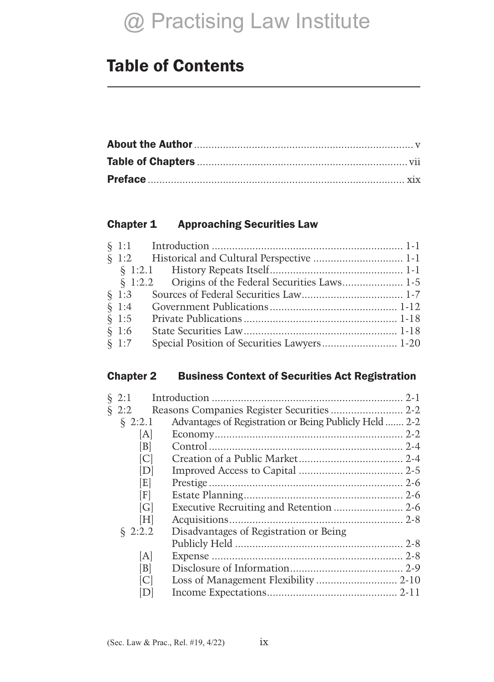# Table of Contents

#### Chapter 1 Approaching Securities Law

|          | § 1:2.2 Origins of the Federal Securities Laws 1-5 |  |
|----------|----------------------------------------------------|--|
|          |                                                    |  |
|          |                                                    |  |
| $\S 1:5$ |                                                    |  |
| $\S 1:6$ |                                                    |  |
| $\S 1:7$ |                                                    |  |

#### Chapter 2 Business Context of Securities Act Registration

| $\S 2:1$   |     |                                                        |  |
|------------|-----|--------------------------------------------------------|--|
| $\S 2:2$   |     |                                                        |  |
| $\S 2:2.1$ |     | Advantages of Registration or Being Publicly Held  2-2 |  |
|            | A   |                                                        |  |
|            | B   |                                                        |  |
|            | ICI |                                                        |  |
|            | D   |                                                        |  |
|            | [E] |                                                        |  |
|            | F   |                                                        |  |
|            | G   |                                                        |  |
|            | [H] |                                                        |  |
| \$2:2.2    |     | Disadvantages of Registration or Being                 |  |
|            |     |                                                        |  |
|            | [A] |                                                        |  |
|            | B   |                                                        |  |
|            | ICI |                                                        |  |
|            | D   |                                                        |  |
|            |     |                                                        |  |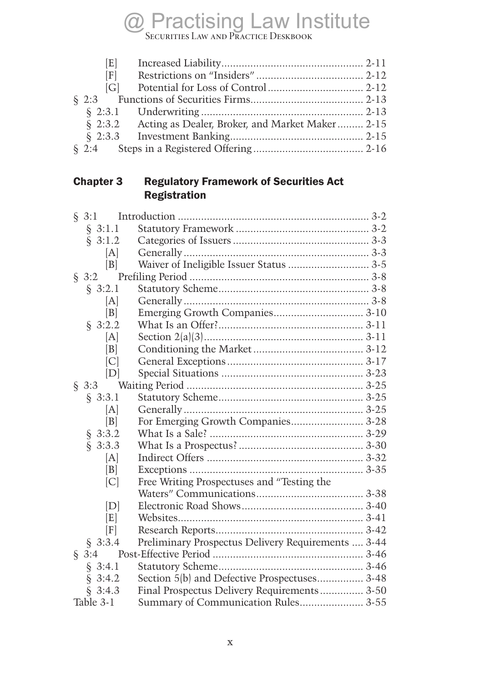$\mathcal{L}$ Securities Law and Practice Deskbook

| E   |                                                         |  |
|-----|---------------------------------------------------------|--|
| [F] |                                                         |  |
|     |                                                         |  |
|     |                                                         |  |
|     |                                                         |  |
|     | § 2:3.2 Acting as Dealer, Broker, and Market Maker 2-15 |  |
|     |                                                         |  |
|     |                                                         |  |

### Chapter 3 Regulatory Framework of Securities Act **Registration**

| $\S 3:1$  |                   |                                                    |  |
|-----------|-------------------|----------------------------------------------------|--|
| § 3:1.1   |                   |                                                    |  |
| \$3:1.2   |                   |                                                    |  |
|           | [A]               |                                                    |  |
|           | B                 | Waiver of Ineligible Issuer Status  3-5            |  |
| $\S 3:2$  |                   |                                                    |  |
| \$3:2.1   |                   |                                                    |  |
|           | [A]               |                                                    |  |
|           | B                 |                                                    |  |
| \$3:2.2   |                   |                                                    |  |
|           | [A]               |                                                    |  |
|           | B                 |                                                    |  |
|           | C                 |                                                    |  |
|           | [D]               |                                                    |  |
| $\S 3:3$  |                   |                                                    |  |
| § 3:3.1   |                   |                                                    |  |
|           | [A]               |                                                    |  |
|           | B                 | For Emerging Growth Companies 3-28                 |  |
| § 3:3.2   |                   |                                                    |  |
| \$3:3.3   |                   |                                                    |  |
|           | [A]               |                                                    |  |
|           | $\lceil B \rceil$ |                                                    |  |
|           | C                 | Free Writing Prospectuses and "Testing the         |  |
|           |                   |                                                    |  |
|           | [D]               |                                                    |  |
|           | [E]               |                                                    |  |
|           | [F]               |                                                    |  |
| \$3:3.4   |                   | Preliminary Prospectus Delivery Requirements  3-44 |  |
| $\S$ 3:4  |                   |                                                    |  |
| § 3:4.1   |                   |                                                    |  |
| § 3:4.2   |                   | Section 5(b) and Defective Prospectuses 3-48       |  |
| \$3:4.3   |                   | Final Prospectus Delivery Requirements 3-50        |  |
| Table 3-1 |                   | Summary of Communication Rules 3-55                |  |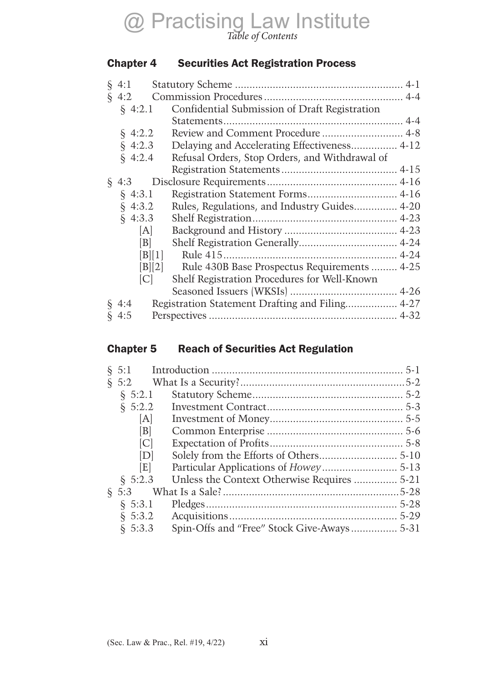#### Chapter 4 Securities Act Registration Process

| $\S$ 4:1                              |                                                 |
|---------------------------------------|-------------------------------------------------|
| $\S$ 4:2                              |                                                 |
| $\{4:2.1$                             | Confidential Submission of Draft Registration   |
|                                       |                                                 |
| $\S$ 4:2.2                            | Review and Comment Procedure  4-8               |
| $\S$ 4:2.3                            | Delaying and Accelerating Effectiveness 4-12    |
| $\{4:2.4$                             | Refusal Orders, Stop Orders, and Withdrawal of  |
|                                       |                                                 |
| $\S$ 4:3                              |                                                 |
| $\S$ 4:3.1                            |                                                 |
| $\{4:3.2\}$                           | Rules, Regulations, and Industry Guides 4-20    |
| $\S$ 4:3.3                            |                                                 |
| [A]                                   |                                                 |
| B                                     |                                                 |
| $\vert B \vert \vert 1 \vert$         |                                                 |
| $\left[\text{B}\right]\left[2\right]$ | Rule 430B Base Prospectus Requirements  4-25    |
| C                                     | Shelf Registration Procedures for Well-Known    |
|                                       |                                                 |
| $\S$ 4:4                              | Registration Statement Drafting and Filing 4-27 |
| $\S$ 4:5                              |                                                 |

# Chapter 5 Reach of Securities Act Regulation

| $\S$ 5:2.2 |                                             |                                        |
|------------|---------------------------------------------|----------------------------------------|
| A          |                                             |                                        |
| B          |                                             |                                        |
| C          |                                             |                                        |
| D          |                                             |                                        |
| E          |                                             |                                        |
| \$5:2.3    | Unless the Context Otherwise Requires  5-21 |                                        |
|            |                                             |                                        |
|            |                                             |                                        |
|            |                                             |                                        |
| § 5:3.3    | Spin-Offs and "Free" Stock Give-Aways 5-31  |                                        |
|            | § 5:3                                       | $\S$ 5:2.1<br>$\S$ 5:3.1<br>$\S$ 5:3.2 |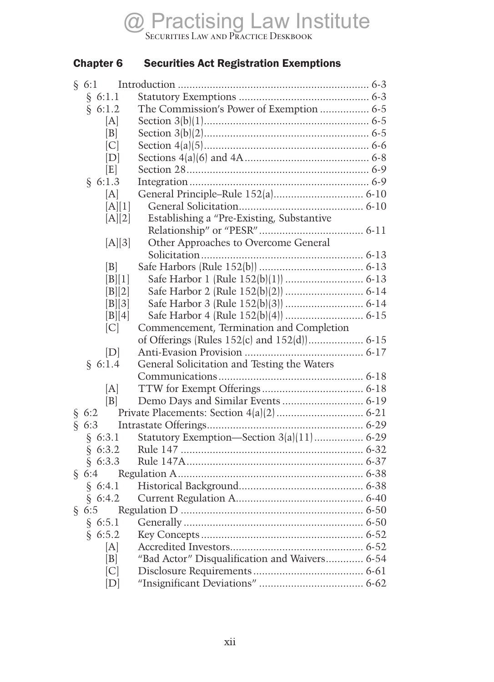### Chapter 6 Securities Act Registration Exemptions

|    | § 6:1.1                                         |                                               |  |
|----|-------------------------------------------------|-----------------------------------------------|--|
|    | § 6:1.2                                         | The Commission's Power of Exemption  6-5      |  |
|    | IAI                                             |                                               |  |
|    | B                                               |                                               |  |
|    | C                                               |                                               |  |
|    | [D]                                             |                                               |  |
|    | [E]                                             |                                               |  |
|    | § 6:1.3                                         |                                               |  |
|    | [A]                                             |                                               |  |
|    | [A][1]                                          |                                               |  |
|    | [A][2]                                          | Establishing a "Pre-Existing, Substantive     |  |
|    |                                                 |                                               |  |
|    | [A][3]                                          | Other Approaches to Overcome General          |  |
|    |                                                 |                                               |  |
|    | B                                               |                                               |  |
|    | [B][1]                                          |                                               |  |
|    | [B][2]                                          |                                               |  |
|    | [B][3]                                          |                                               |  |
|    | [B][4]                                          |                                               |  |
|    | [C]                                             | Commencement, Termination and Completion      |  |
|    |                                                 |                                               |  |
|    | [D]                                             |                                               |  |
|    | § 6:1.4                                         | General Solicitation and Testing the Waters   |  |
|    |                                                 |                                               |  |
|    | [A]                                             |                                               |  |
|    | B                                               |                                               |  |
|    | $\begin{array}{c} \S 6:2 \\ \S 6:3 \end{array}$ |                                               |  |
|    |                                                 |                                               |  |
|    | § 6:3.1                                         | Statutory Exemption-Section 3(a)(11) 6-29     |  |
|    | § 6:3.2                                         |                                               |  |
|    | § 6:3.3                                         |                                               |  |
| Ş. | 6:4                                             |                                               |  |
|    | § 6:4.1                                         |                                               |  |
|    | 6:4.2                                           |                                               |  |
|    | § 6:5                                           |                                               |  |
|    | § $6:5.1$                                       |                                               |  |
|    | 6:5.2                                           |                                               |  |
|    | [A]                                             |                                               |  |
|    | $\lceil B \rceil$                               | "Bad Actor" Disqualification and Waivers 6-54 |  |
|    | C                                               |                                               |  |
|    | [D]                                             |                                               |  |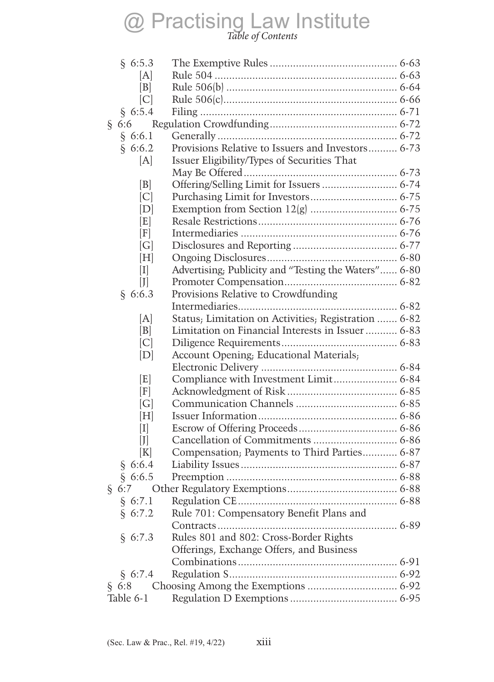# $\mathbb{R}^{11}$  is  $\mathbb{R}^{11}$ *Table of Contents*

| § 6:5.3         |                                                      |  |
|-----------------|------------------------------------------------------|--|
| [A]             |                                                      |  |
| B               |                                                      |  |
| C               |                                                      |  |
| § 6:5.4         |                                                      |  |
| § 6:6           |                                                      |  |
| § 6:6.1         |                                                      |  |
| § 6:6.2         | Provisions Relative to Issuers and Investors 6-73    |  |
| [A]             | Issuer Eligibility/Types of Securities That          |  |
|                 |                                                      |  |
| B               | Offering/Selling Limit for Issuers  6-74             |  |
| C               |                                                      |  |
| D               |                                                      |  |
| E               |                                                      |  |
| [F]             |                                                      |  |
| G               |                                                      |  |
| [H]             |                                                      |  |
| $\vert I \vert$ | Advertising; Publicity and "Testing the Waters" 6-80 |  |
| $\mathcal{L}$   |                                                      |  |
| § 6:6.3         | Provisions Relative to Crowdfunding                  |  |
|                 |                                                      |  |
| [A]             | Status; Limitation on Activities; Registration  6-82 |  |
| B               | Limitation on Financial Interests in Issuer  6-83    |  |
| C               |                                                      |  |
| [D]             | Account Opening; Educational Materials;              |  |
|                 |                                                      |  |
| E               | Compliance with Investment Limit 6-84                |  |
| [F]             |                                                      |  |
| G               |                                                      |  |
| [H]             |                                                      |  |
| I               |                                                      |  |
| J               |                                                      |  |
| [K]             | Compensation; Payments to Third Parties 6-87         |  |
| § 6:6.4         |                                                      |  |
| § 6:6.5         |                                                      |  |
| 6:7             |                                                      |  |
| § $6:7.1$       |                                                      |  |
| § 6:7.2         | Rule 701: Compensatory Benefit Plans and             |  |
|                 |                                                      |  |
| § 6:7.3         | Rules 801 and 802: Cross-Border Rights               |  |
|                 | Offerings, Exchange Offers, and Business             |  |
|                 |                                                      |  |
| § 6:7.4         |                                                      |  |
| § 6:8           |                                                      |  |
| Table 6-1       |                                                      |  |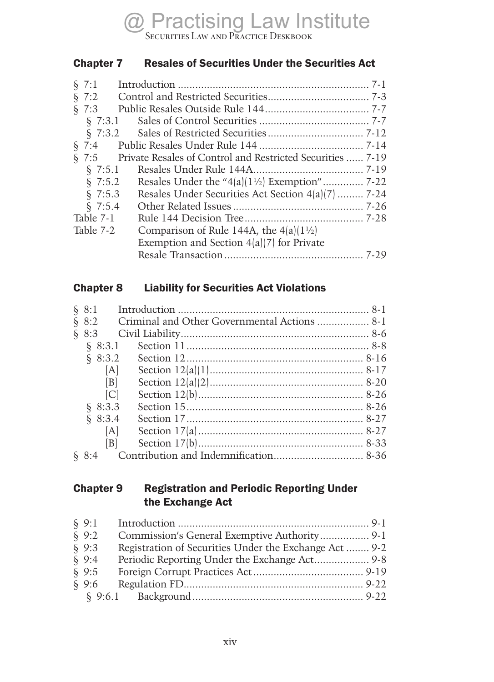### Chapter 7 Resales of Securities Under the Securities Act

| \$7:1      |                                                            |
|------------|------------------------------------------------------------|
| $\S$ 7:2   |                                                            |
| $\S$ 7:3   |                                                            |
| \$7:3.1    |                                                            |
| \$7:3.2    |                                                            |
| $\{7:4$    |                                                            |
| $\{7:5$    | Private Resales of Control and Restricted Securities  7-19 |
| $\{7:5.1$  |                                                            |
| \$7:5.2    |                                                            |
| $\S$ 7:5.3 | Resales Under Securities Act Section 4(a)(7)  7-24         |
| \$7:5.4    |                                                            |
| Table 7-1  |                                                            |
| Table 7-2  | Comparison of Rule 144A, the $4 a  1^{1/2} $               |
|            | Exemption and Section $4(a)(7)$ for Private                |
|            |                                                            |
|            |                                                            |

#### Chapter 8 Liability for Securities Act Violations

| $\S 8:1$            |                                                    |  |
|---------------------|----------------------------------------------------|--|
|                     | § 8:2 Criminal and Other Governmental Actions  8-1 |  |
| $\S 8:3$            |                                                    |  |
| $\{8:3.1$           |                                                    |  |
| 8:3.2               |                                                    |  |
| [A]                 |                                                    |  |
| $\lfloor B \rfloor$ |                                                    |  |
| C                   |                                                    |  |
| \$8:3.3             |                                                    |  |
| \$8:3.4             |                                                    |  |
| [A]                 |                                                    |  |
| B                   |                                                    |  |
|                     |                                                    |  |

#### Chapter 9 Registration and Periodic Reporting Under the Exchange Act

| $\S 9:1$ |                                                       |  |
|----------|-------------------------------------------------------|--|
| $\S$ 9:2 | Commission's General Exemptive Authority 9-1          |  |
| $\S$ 9:3 | Registration of Securities Under the Exchange Act 9-2 |  |
| $\{9:4$  | Periodic Reporting Under the Exchange Act 9-8         |  |
| \$9:5    |                                                       |  |
| $\S$ 9:6 |                                                       |  |
|          |                                                       |  |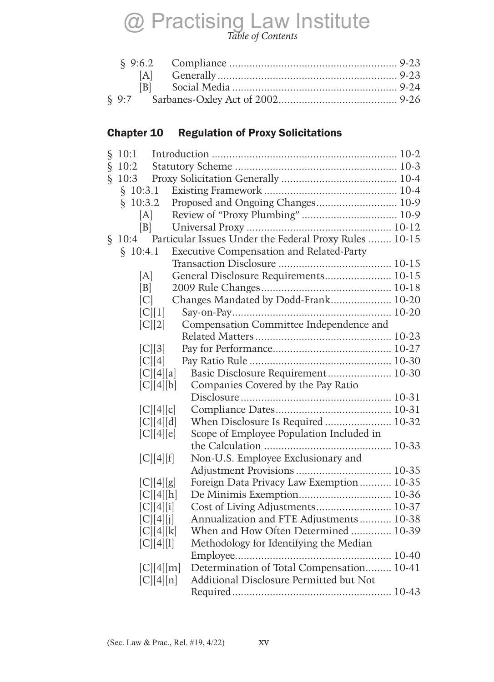# $\mathbb{R}^{11}$  is  $\mathbb{R}^{11}$ *Table of Contents*

| IAI. |  |
|------|--|
|      |  |
|      |  |

# Chapter 10 Regulation of Proxy Solicitations

|      | § 10:1                |                                                        |  |
|------|-----------------------|--------------------------------------------------------|--|
| ş    | 10:2                  |                                                        |  |
| $\S$ | 10:3                  |                                                        |  |
|      | 10:3.1<br>§           |                                                        |  |
|      | 10:3.2<br>$\S$        | Proposed and Ongoing Changes 10-9                      |  |
|      | [A]                   |                                                        |  |
|      | B                     |                                                        |  |
| ş.   | 10:4                  | Particular Issues Under the Federal Proxy Rules  10-15 |  |
|      | \$10:4.1              | Executive Compensation and Related-Party               |  |
|      |                       |                                                        |  |
|      | [A]                   | General Disclosure Requirements 10-15                  |  |
|      | B                     |                                                        |  |
|      | C                     | Changes Mandated by Dodd-Frank 10-20                   |  |
|      | [C][1]                |                                                        |  |
|      | [C][2]                | Compensation Committee Independence and                |  |
|      |                       |                                                        |  |
|      | C  3                  |                                                        |  |
|      | C  4                  |                                                        |  |
|      | [C][4][a]             | Basic Disclosure Requirement 10-30                     |  |
|      | C  4  b               | Companies Covered by the Pay Ratio                     |  |
|      |                       |                                                        |  |
|      | C  4  c               |                                                        |  |
|      | [C][4][d]             | When Disclosure Is Required  10-32                     |  |
|      | C  4  e               | Scope of Employee Population Included in               |  |
|      |                       |                                                        |  |
|      | [C][4][f]             | Non-U.S. Employee Exclusionary and                     |  |
|      |                       |                                                        |  |
|      | [C][4][g]             | Foreign Data Privacy Law Exemption  10-35              |  |
|      | [C][4][h]             |                                                        |  |
|      | [C][4][i]             |                                                        |  |
|      | [C][4][j]             | Annualization and FTE Adjustments 10-38                |  |
|      | [C][4][k]             | When and How Often Determined  10-39                   |  |
|      | [C][4][1]             | Methodology for Identifying the Median                 |  |
|      |                       | Determination of Total Compensation 10-41              |  |
|      | [C][4][m]<br> C  4  n | Additional Disclosure Permitted but Not                |  |
|      |                       |                                                        |  |
|      |                       |                                                        |  |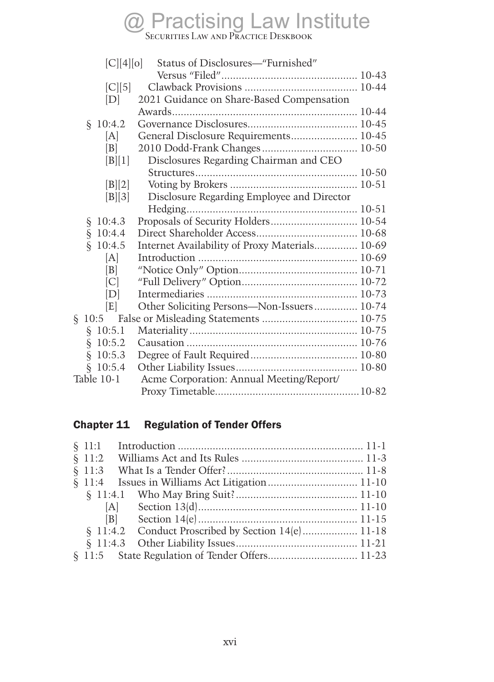# $\mathcal{L}$ Securities Law and Practice Deskbook

| C  4  0      | Status of Disclosures—"Furnished"              |  |
|--------------|------------------------------------------------|--|
|              |                                                |  |
| [C][5]       |                                                |  |
| [D]          | 2021 Guidance on Share-Based Compensation      |  |
|              |                                                |  |
| 10:4.2<br>Ş. |                                                |  |
| A            | General Disclosure Requirements 10-45          |  |
| B            | 2010 Dodd-Frank Changes 10-50                  |  |
| [B][1]       | Disclosures Regarding Chairman and CEO         |  |
|              |                                                |  |
| [B][2]       |                                                |  |
| [B][3]       | Disclosure Regarding Employee and Director     |  |
|              |                                                |  |
| 10:4.3<br>ş  | Proposals of Security Holders 10-54            |  |
| \$10:4.4     |                                                |  |
| \$10:4.5     | Internet Availability of Proxy Materials 10-69 |  |
| [A]          |                                                |  |
| B            |                                                |  |
| C            |                                                |  |
| IDI          |                                                |  |
| E            | Other Soliciting Persons-Non-Issuers 10-74     |  |
| Ş.<br>10:5   |                                                |  |
| \$10:5.1     |                                                |  |
| \$10:5.2     |                                                |  |
| \$10:5.3     |                                                |  |
| 10:5.4<br>Ş. |                                                |  |
| Table 10-1   | Acme Corporation: Annual Meeting/Report/       |  |
|              |                                                |  |

# Chapter 11 Regulation of Tender Offers

| $\S$ 11:1 |                                                    |  |
|-----------|----------------------------------------------------|--|
| \$11:2    |                                                    |  |
|           |                                                    |  |
| $\{11:4$  |                                                    |  |
|           |                                                    |  |
|           |                                                    |  |
|           |                                                    |  |
|           | § 11:4.2 Conduct Proscribed by Section 14(e) 11-18 |  |
|           |                                                    |  |
|           |                                                    |  |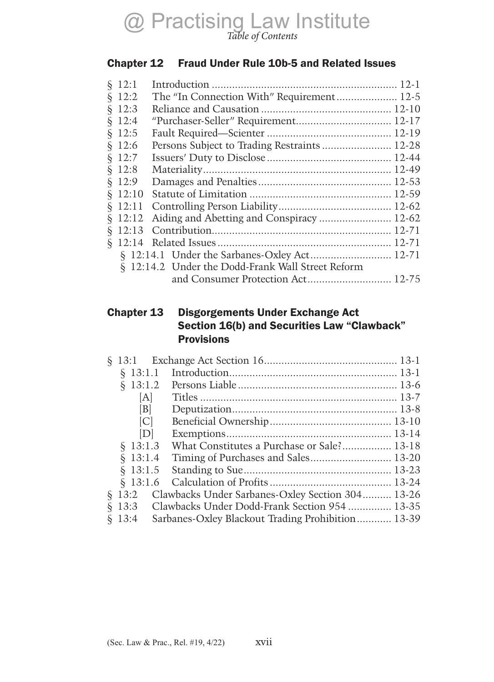### Chapter 12 Fraud Under Rule 10b-5 and Related Issues

| \$12:1    |                                                   |  |
|-----------|---------------------------------------------------|--|
| \$12:2    | The "In Connection With" Requirement 12-5         |  |
| \$12:3    |                                                   |  |
| \$12:4    | "Purchaser-Seller" Requirement 12-17              |  |
| $\S$ 12:5 |                                                   |  |
| \$12:6    | Persons Subject to Trading Restraints 12-28       |  |
| \$12:7    |                                                   |  |
| \$12:8    |                                                   |  |
| \$12:9    |                                                   |  |
| \$12:10   |                                                   |  |
| \$12:11   |                                                   |  |
| \$12:12   | Aiding and Abetting and Conspiracy  12-62         |  |
| \$12:13   |                                                   |  |
| $\{2:14$  |                                                   |  |
|           |                                                   |  |
|           | § 12:14.2 Under the Dodd-Frank Wall Street Reform |  |
|           |                                                   |  |
|           |                                                   |  |

#### Chapter 13 Disgorgements Under Exchange Act Section 16(b) and Securities Law "Clawback" **Provisions**

| \$13:1.1       |                                                   |  |
|----------------|---------------------------------------------------|--|
| $\{8\}$ 13:1.2 |                                                   |  |
| [A]            |                                                   |  |
| B              |                                                   |  |
| C              |                                                   |  |
| [D]            |                                                   |  |
| \$13:1.3       | What Constitutes a Purchase or Sale? 13-18        |  |
| \$13:1.4       | Timing of Purchases and Sales 13-20               |  |
| \$13:1.5       |                                                   |  |
|                |                                                   |  |
| § 13:2         | Clawbacks Under Sarbanes-Oxley Section 304 13-26  |  |
| $\S$ 13:3      | Clawbacks Under Dodd-Frank Section 954  13-35     |  |
| \$13:4         | Sarbanes-Oxley Blackout Trading Prohibition 13-39 |  |
|                |                                                   |  |